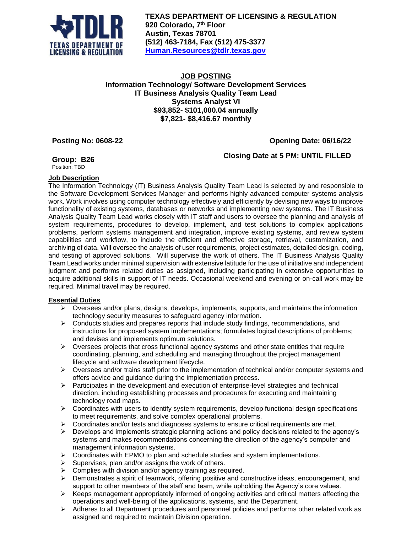

**TEXAS DEPARTMENT OF LICENSING & REGULATION 920 Colorado, 7 th Floor Austin, Texas 78701 (512) 463-7184, Fax (512) 475-3377 [Human.Resources@tdlr.texas.gov](mailto:Human.Resources@tdlr.texas.gov)**

### **JOB POSTING Information Technology/ Software Development Services IT Business Analysis Quality Team Lead Systems Analyst VI \$93,852- \$101,000.04 annually \$7,821- \$8,416.67 monthly**

# **Posting No: 0608-22 Opening Date: 06/16/22**

**Closing Date at 5 PM: UNTIL FILLED**

**Group: B26**

Position: TBD

#### **Job Description**

The Information Technology (IT) Business Analysis Quality Team Lead is selected by and responsible to the Software Development Services Manager and performs highly advanced computer systems analysis work. Work involves using computer technology effectively and efficiently by devising new ways to improve functionality of existing systems, databases or networks and implementing new systems. The IT Business Analysis Quality Team Lead works closely with IT staff and users to oversee the planning and analysis of system requirements, procedures to develop, implement, and test solutions to complex applications problems, perform systems management and integration, improve existing systems, and review system capabilities and workflow, to include the efficient and effective storage, retrieval, customization, and archiving of data. Will oversee the analysis of user requirements, project estimates, detailed design, coding, and testing of approved solutions. Will supervise the work of others. The IT Business Analysis Quality Team Lead works under minimal supervision with extensive latitude for the use of initiative and independent judgment and performs related duties as assigned, including participating in extensive opportunities to acquire additional skills in support of IT needs. Occasional weekend and evening or on-call work may be required. Minimal travel may be required.

#### **Essential Duties**

- $\triangleright$  Oversees and/or plans, designs, develops, implements, supports, and maintains the information technology security measures to safeguard agency information.
- $\triangleright$  Conducts studies and prepares reports that include study findings, recommendations, and instructions for proposed system implementations; formulates logical descriptions of problems; and devises and implements optimum solutions.
- ➢ Oversees projects that cross functional agency systems and other state entities that require coordinating, planning, and scheduling and managing throughout the project management lifecycle and software development lifecycle.
- ➢ Oversees and/or trains staff prior to the implementation of technical and/or computer systems and offers advice and guidance during the implementation process.
- $\triangleright$  Participates in the development and execution of enterprise-level strategies and technical direction, including establishing processes and procedures for executing and maintaining technology road maps.
- ➢ Coordinates with users to identify system requirements, develop functional design specifications to meet requirements, and solve complex operational problems.
- $\triangleright$  Coordinates and/or tests and diagnoses systems to ensure critical requirements are met.
- $\triangleright$  Develops and implements strategic planning actions and policy decisions related to the agency's systems and makes recommendations concerning the direction of the agency's computer and management information systems.
- $\triangleright$  Coordinates with EPMO to plan and schedule studies and system implementations.
- ➢ Supervises, plan and/or assigns the work of others.
- $\triangleright$  Complies with division and/or agency training as required.
- $\triangleright$  Demonstrates a spirit of teamwork, offering positive and constructive ideas, encouragement, and support to other members of the staff and team, while upholding the Agency's core values.
- $\triangleright$  Keeps management appropriately informed of ongoing activities and critical matters affecting the operations and well-being of the applications, systems, and the Department.
- $\triangleright$  Adheres to all Department procedures and personnel policies and performs other related work as assigned and required to maintain Division operation.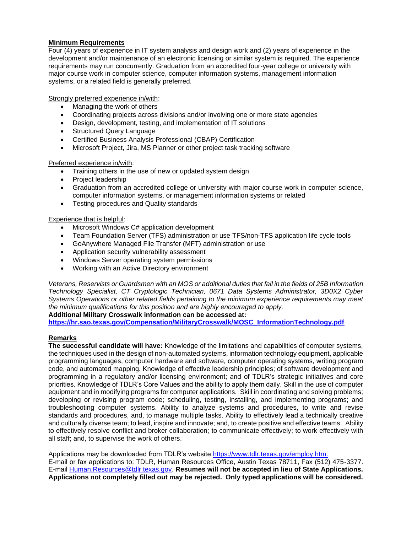## **Minimum Requirements**

Four (4) years of experience in IT system analysis and design work and (2) years of experience in the development and/or maintenance of an electronic licensing or similar system is required. The experience requirements may run concurrently. Graduation from an accredited four-year college or university with major course work in computer science, computer information systems, management information systems, or a related field is generally preferred.

Strongly preferred experience in/with:

- Managing the work of others
- Coordinating projects across divisions and/or involving one or more state agencies
- Design, development, testing, and implementation of IT solutions
- Structured Query Language
- Certified Business Analysis Professional (CBAP) Certification
- Microsoft Project, Jira, MS Planner or other project task tracking software

#### Preferred experience in/with:

- Training others in the use of new or updated system design
- Project leadership
- Graduation from an accredited college or university with major course work in computer science, computer information systems, or management information systems or related
- Testing procedures and Quality standards

#### Experience that is helpful:

- Microsoft Windows C# application development
- Team Foundation Server (TFS) administration or use TFS/non-TFS application life cycle tools
- GoAnywhere Managed File Transfer (MFT) administration or use
- Application security vulnerability assessment
- Windows Server operating system permissions
- Working with an Active Directory environment

*Veterans, Reservists or Guardsmen with an MOS or additional duties that fall in the fields of 25B Information Technology Specialist, CT Cryptologic Technician, 0671 Data Systems Administrator, 3D0X2 Cyber Systems Operations or other related fields pertaining to the minimum experience requirements may meet the minimum qualifications for this position and are highly encouraged to apply.* 

## **Additional Military Crosswalk information can be accessed at:**

**[https://hr.sao.texas.gov/Compensation/MilitaryCrosswalk/MOSC\\_InformationTechnology.pdf](https://hr.sao.texas.gov/Compensation/MilitaryCrosswalk/MOSC_InformationTechnology.pdf)**

#### **Remarks**

**The successful candidate will have:** Knowledge of the limitations and capabilities of computer systems, the techniques used in the design of non-automated systems, information technology equipment, applicable programming languages, computer hardware and software, computer operating systems, writing program code, and automated mapping. Knowledge of effective leadership principles; of software development and programming in a regulatory and/or licensing environment; and of TDLR's strategic initiatives and core priorities. Knowledge of TDLR's Core Values and the ability to apply them daily. Skill in the use of computer equipment and in modifying programs for computer applications. Skill in coordinating and solving problems; developing or revising program code; scheduling, testing, installing, and implementing programs; and troubleshooting computer systems. Ability to analyze systems and procedures, to write and revise standards and procedures, and, to manage multiple tasks. Ability to effectively lead a technically creative and culturally diverse team; to lead, inspire and innovate; and, to create positive and effective teams. Ability to effectively resolve conflict and broker collaboration; to communicate effectively; to work effectively with all staff; and, to supervise the work of others.

Applications may be downloaded from TDLR's website [https://www.tdlr.texas.gov/employ.htm.](https://www.tdlr.texas.gov/employ.htm) E-mail or fax applications to: TDLR, Human Resources Office, Austin Texas 78711, Fax (512) 475-3377. E-mail [Human.Resources@tdlr.texas.gov.](mailto:Human.Resources@tdlr.texas.gov) **Resumes will not be accepted in lieu of State Applications. Applications not completely filled out may be rejected. Only typed applications will be considered.**